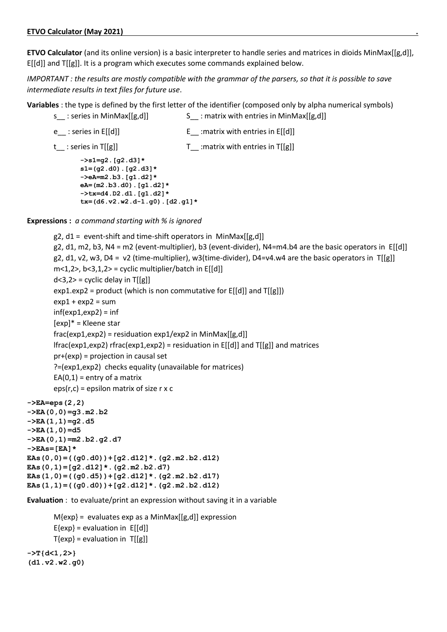**ETVO Calculator** (and its online version) is a basic interpreter to handle series and matrices in dioids MinMax[[g,d]], E[[d]] and T[[g]]. It is a program which executes some commands explained below.

*IMPORTANT : the results are mostly compatible with the grammar of the parsers, so that it is possible to save intermediate results in text files for future use*.

**Variables** : the type is defined by the first letter of the identifier (composed only by alpha numerical symbols) s : series in MinMax[[g,d]] S : matrix with entries in MinMax[[g,d]]

e : series in  $E[[d]]$  E : matrix with entries in  $E[[d]]$ 

```
t_{-}: series in T[[g]] T_{-} : matrix with entries in T[[g]]
      ->s1=g2.[g2.d3]*
      s1=(g2.d0).[g2.d3]*
       ->eA=m2.b3.[g1.d2]*
      eA=(m2.b3.d0).[g1.d2]*
       ->tx=d4.D2.d1.[g1.d2]*
      tx=(d6.v2.w2.d-1.g0).[d2.g1]*
```
**Expressions :** *a command starting with % is ignored*

```
g2, d1 = event-shift and time-shift operators in MinMax[[g,d]]g2, d1, m2, b3, N4 = m2 (event-multiplier), b3 (event-divider), N4=m4.b4 are the basic operators in E[[d]] 
       g2, d1, v2, w3, D4 = v2 (time-multiplier), w3(time-divider), D4=v4.w4 are the basic operators in T[[g]]
       m<1,2, b<3,1,2 = cyclic multiplier/batch in E[[d]]
       d < 3.2 = cyclic delay in T[[g]]
       exp1.exp2 = product (which is non commutative for E[[d]] and T[[g]])
       exp1 + exp2 = suminf(exp1, exp2) = inf[exp]* = Kleene star
       frac(exp1,exp2) = residuation exp1/exp2 in MinMax[[g,d]]lfrac{exp1,exp2} rfrac(exp1,exp2) = residuation in E[[d]] and T[[g]] and matrices
       pr+(exp) = projection in causal set
       ?=(exp1,exp2) checks equality (unavailable for matrices)
       EA(0,1) = entry of a matrix
       eps(r,c) = epsilon matrix of size r x c
->EA=eps(2,2)
->EA(0,0)=g3.m2.b2
->EA(1,1)=g2.d5
->EA(1,0)=d5
->EA(0,1)=m2.b2.g2.d7
->EAs=[EA]*
EAs(0,0)=((g0.d0))+[g2.d12]*.(g2.m2.b2.d12)
EAs(0,1)=[g2.d12]*.(g2.m2.b2.d7)
EAs(1,0)=((g0.d5))+[g2.d12]*.(g2.m2.b2.d17)
EAs(1,1)=((g0.d0))+[g2.d12]*.(g2.m2.b2.d12)
```
**Evaluation** : to evaluate/print an expression without saving it in a variable

```
M{exp} = evaluates exp as a MinMax[[g,d]] expression
       E{exp} = evaluation in E[[d]]T{exp} = evaluation in T[[g]]->T{d<1,2>}
(d1.v2.w2.g0)
```